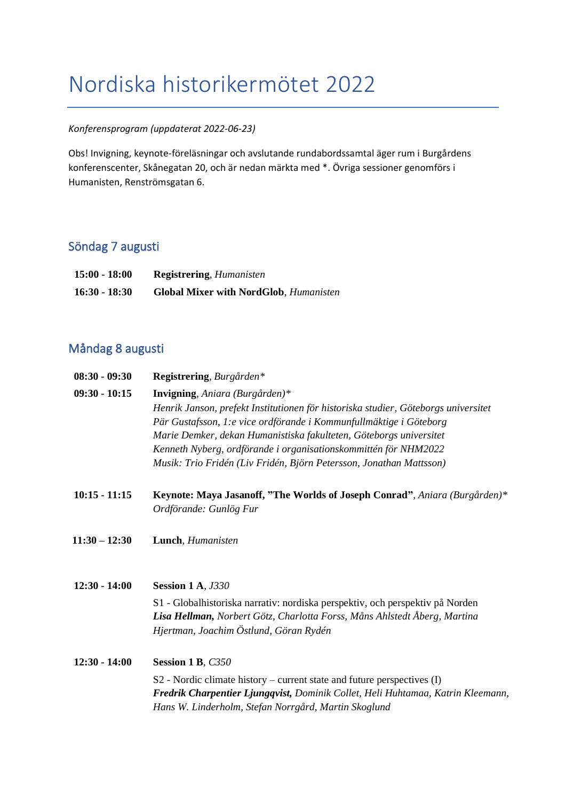# Nordiska historikermötet 2022

#### *Konferensprogram (uppdaterat 2022-06-23)*

Obs! Invigning, keynote-föreläsningar och avslutande rundabordssamtal äger rum i Burgårdens konferenscenter, Skånegatan 20, och är nedan märkta med \*. Övriga sessioner genomförs i Humanisten, Renströmsgatan 6.

### Söndag 7 augusti

| $15:00 - 18:00$ | <b>Registrering, Humanisten</b>               |
|-----------------|-----------------------------------------------|
| $16:30 - 18:30$ | <b>Global Mixer with NordGlob, Humanisten</b> |

### Måndag 8 augusti

| $08:30 - 09:30$ | Registrering, Burgården*                                                           |
|-----------------|------------------------------------------------------------------------------------|
| $09:30 - 10:15$ | <b>Invigning</b> , <i>Aniara</i> ( <i>Burgården</i> )*                             |
|                 | Henrik Janson, prefekt Institutionen för historiska studier, Göteborgs universitet |
|                 | Pär Gustafsson, 1:e vice ordförande i Kommunfullmäktige i Göteborg                 |
|                 | Marie Demker, dekan Humanistiska fakulteten, Göteborgs universitet                 |
|                 | Kenneth Nyberg, ordförande i organisationskommittén för NHM2022                    |
|                 | Musik: Trio Fridén (Liv Fridén, Björn Petersson, Jonathan Mattsson)                |

- **10:15 - 11:15 Keynote: Maya Jasanoff, "The Worlds of Joseph Conrad"***, Aniara (Burgården)\* Ordförande: Gunlög Fur*
- **11:30 – 12:30 Lunch**, *Humanisten*
- **12:30 - 14:00 Session 1 A***, J330* S1 - Globalhistoriska narrativ: nordiska perspektiv, och perspektiv på Norden *Lisa Hellman, Norbert Götz, Charlotta Forss, Måns Ahlstedt Åberg, Martina Hjertman, Joachim Östlund, Göran Rydén*

**12:30 - 14:00 Session 1 B***, C350* S2 - Nordic climate history – current state and future perspectives (I) *Fredrik Charpentier Ljungqvist, Dominik Collet, Heli Huhtamaa, Katrin Kleemann, Hans W. Linderholm, Stefan Norrgård, Martin Skoglund*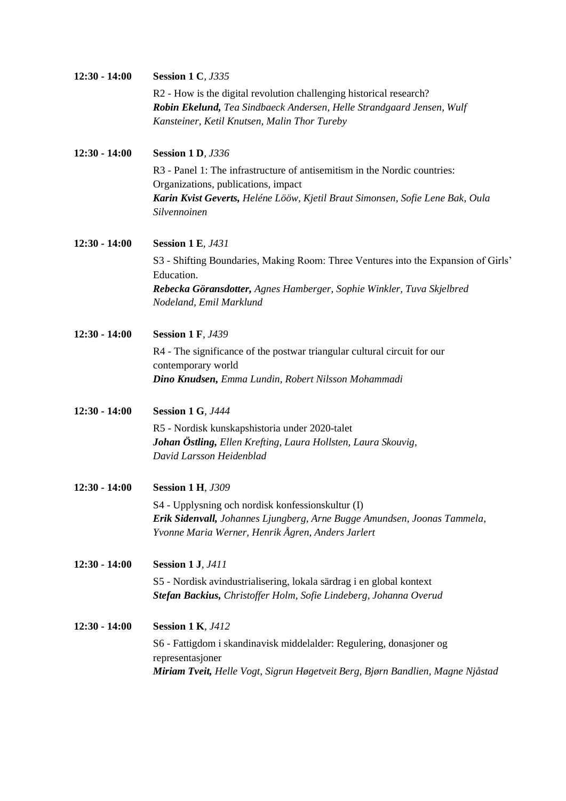| $12:30 - 14:00$ | <b>Session 1 C, J335</b>                                                                                                                     |
|-----------------|----------------------------------------------------------------------------------------------------------------------------------------------|
|                 | R2 - How is the digital revolution challenging historical research?<br>Robin Ekelund, Tea Sindbaeck Andersen, Helle Strandgaard Jensen, Wulf |
|                 | Kansteiner, Ketil Knutsen, Malin Thor Tureby                                                                                                 |
| $12:30 - 14:00$ | <b>Session 1 D, J336</b>                                                                                                                     |
|                 | R3 - Panel 1: The infrastructure of antisemitism in the Nordic countries:<br>Organizations, publications, impact                             |
|                 | Karin Kvist Geverts, Heléne Lööw, Kjetil Braut Simonsen, Sofie Lene Bak, Oula<br>Silvennoinen                                                |
| $12:30 - 14:00$ | <b>Session 1 E, J431</b>                                                                                                                     |
|                 | S3 - Shifting Boundaries, Making Room: Three Ventures into the Expansion of Girls'<br>Education.                                             |
|                 | Rebecka Göransdotter, Agnes Hamberger, Sophie Winkler, Tuva Skjelbred<br>Nodeland, Emil Marklund                                             |
| $12:30 - 14:00$ | <b>Session 1 F, J439</b>                                                                                                                     |
|                 | R4 - The significance of the postwar triangular cultural circuit for our<br>contemporary world                                               |
|                 | Dino Knudsen, Emma Lundin, Robert Nilsson Mohammadi                                                                                          |
| $12:30 - 14:00$ | <b>Session 1 G, J444</b>                                                                                                                     |
|                 | R5 - Nordisk kunskapshistoria under 2020-talet<br>Johan Östling, Ellen Krefting, Laura Hollsten, Laura Skouvig,                              |
|                 | David Larsson Heidenblad                                                                                                                     |
| $12:30 - 14:00$ | <b>Session 1 H, J309</b>                                                                                                                     |
|                 | S4 - Upplysning och nordisk konfessionskultur (I)                                                                                            |
|                 | Erik Sidenvall, Johannes Ljungberg, Arne Bugge Amundsen, Joonas Tammela,<br>Yvonne Maria Werner, Henrik Ågren, Anders Jarlert                |
| $12:30 - 14:00$ | <b>Session 1 J, J411</b>                                                                                                                     |
|                 | S5 - Nordisk avindustrialisering, lokala särdrag i en global kontext<br>Stefan Backius, Christoffer Holm, Sofie Lindeberg, Johanna Overud    |
| $12:30 - 14:00$ | <b>Session 1 K, J412</b>                                                                                                                     |
|                 | S6 - Fattigdom i skandinavisk middelalder: Regulering, donasjoner og<br>representasjoner                                                     |
|                 | Miriam Tveit, Helle Vogt, Sigrun Høgetveit Berg, Bjørn Bandlien, Magne Njåstad                                                               |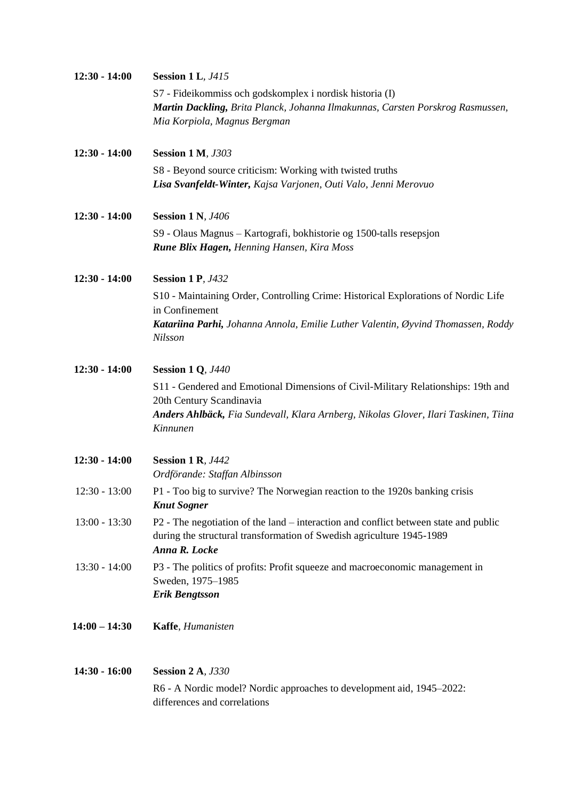| $12:30 - 14:00$ | <b>Session 1 L, J415</b>                                                                             |
|-----------------|------------------------------------------------------------------------------------------------------|
|                 | S7 - Fideikommiss och godskomplex i nordisk historia (I)                                             |
|                 | Martin Dackling, Brita Planck, Johanna Ilmakunnas, Carsten Porskrog Rasmussen,                       |
|                 | Mia Korpiola, Magnus Bergman                                                                         |
| $12:30 - 14:00$ | <b>Session 1 M, J303</b>                                                                             |
|                 | S8 - Beyond source criticism: Working with twisted truths                                            |
|                 | Lisa Svanfeldt-Winter, Kajsa Varjonen, Outi Valo, Jenni Merovuo                                      |
| $12:30 - 14:00$ | <b>Session 1 N, J406</b>                                                                             |
|                 | S9 - Olaus Magnus - Kartografi, bokhistorie og 1500-talls resepsjon                                  |
|                 | <b>Rune Blix Hagen, Henning Hansen, Kira Moss</b>                                                    |
| $12:30 - 14:00$ | <b>Session 1 P, J432</b>                                                                             |
|                 | S10 - Maintaining Order, Controlling Crime: Historical Explorations of Nordic Life<br>in Confinement |
|                 | Katariina Parhi, Johanna Annola, Emilie Luther Valentin, Øyvind Thomassen, Roddy                     |
|                 | Nilsson                                                                                              |
| $12:30 - 14:00$ | <b>Session 1 Q, J440</b>                                                                             |
|                 | S11 - Gendered and Emotional Dimensions of Civil-Military Relationships: 19th and                    |
|                 | 20th Century Scandinavia                                                                             |
|                 | Anders Ahlbäck, Fia Sundevall, Klara Arnberg, Nikolas Glover, Ilari Taskinen, Tiina<br>Kinnunen      |
|                 |                                                                                                      |
| $12:30 - 14:00$ | <b>Session 1 R, J442</b>                                                                             |
|                 | Ordförande: Staffan Albinsson                                                                        |
| $12:30 - 13:00$ | P1 - Too big to survive? The Norwegian reaction to the 1920s banking crisis<br><b>Knut Sogner</b>    |
| $13:00 - 13:30$ | P2 - The negotiation of the land – interaction and conflict between state and public                 |
|                 | during the structural transformation of Swedish agriculture 1945-1989                                |
|                 | Anna R. Locke                                                                                        |
| 13:30 - 14:00   | P3 - The politics of profits: Profit squeeze and macroeconomic management in<br>Sweden, 1975-1985    |
|                 | <b>Erik Bengtsson</b>                                                                                |
| $14:00 - 14:30$ | Kaffe, Humanisten                                                                                    |
| $14:30 - 16:00$ | <b>Session 2 A, J330</b>                                                                             |
|                 | R6 - A Nordic model? Nordic approaches to development aid, 1945–2022:                                |
|                 | differences and correlations                                                                         |
|                 |                                                                                                      |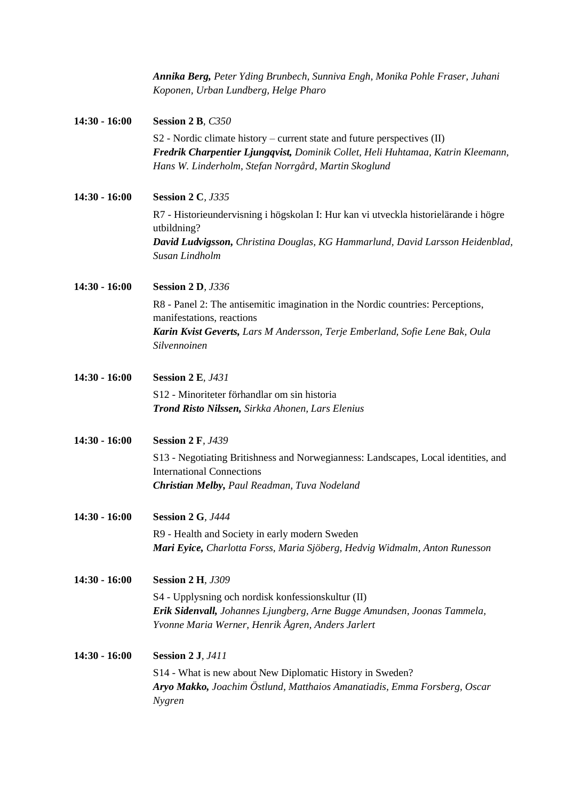|                 | Annika Berg, Peter Yding Brunbech, Sunniva Engh, Monika Pohle Fraser, Juhani<br>Koponen, Urban Lundberg, Helge Pharo                                                                                                    |
|-----------------|-------------------------------------------------------------------------------------------------------------------------------------------------------------------------------------------------------------------------|
| $14:30 - 16:00$ | Session 2 B, C350                                                                                                                                                                                                       |
|                 | $S2$ - Nordic climate history – current state and future perspectives $(II)$<br>Fredrik Charpentier Ljungqvist, Dominik Collet, Heli Huhtamaa, Katrin Kleemann,<br>Hans W. Linderholm, Stefan Norrgård, Martin Skoglund |
| $14:30 - 16:00$ | <b>Session 2 C, J335</b>                                                                                                                                                                                                |
|                 | R7 - Historieundervisning i högskolan I: Hur kan vi utveckla historielärande i högre<br>utbildning?                                                                                                                     |
|                 | David Ludvigsson, Christina Douglas, KG Hammarlund, David Larsson Heidenblad,<br>Susan Lindholm                                                                                                                         |
| $14:30 - 16:00$ | <b>Session 2 D, J336</b>                                                                                                                                                                                                |
|                 | R8 - Panel 2: The antisemitic imagination in the Nordic countries: Perceptions,                                                                                                                                         |
|                 | manifestations, reactions<br>Karin Kvist Geverts, Lars M Andersson, Terje Emberland, Sofie Lene Bak, Oula<br>Silvennoinen                                                                                               |
| $14:30 - 16:00$ | <b>Session 2 E, J431</b>                                                                                                                                                                                                |
|                 | S12 - Minoriteter förhandlar om sin historia<br>Trond Risto Nilssen, Sirkka Ahonen, Lars Elenius                                                                                                                        |
| $14:30 - 16:00$ | <b>Session 2 F, J439</b>                                                                                                                                                                                                |
|                 | S13 - Negotiating Britishness and Norwegianness: Landscapes, Local identities, and<br><b>International Connections</b><br>Christian Melby, Paul Readman, Tuva Nodeland                                                  |
| $14:30 - 16:00$ | <b>Session 2 G, J444</b>                                                                                                                                                                                                |
|                 | R9 - Health and Society in early modern Sweden<br>Mari Eyice, Charlotta Forss, Maria Sjöberg, Hedvig Widmalm, Anton Runesson                                                                                            |
| $14:30 - 16:00$ | <b>Session 2 H, J309</b>                                                                                                                                                                                                |
|                 | S4 - Upplysning och nordisk konfessionskultur (II)<br>Erik Sidenvall, Johannes Ljungberg, Arne Bugge Amundsen, Joonas Tammela,<br>Yvonne Maria Werner, Henrik Ågren, Anders Jarlert                                     |
| $14:30 - 16:00$ | <b>Session 2 J, J411</b>                                                                                                                                                                                                |
|                 | S14 - What is new about New Diplomatic History in Sweden?<br>Aryo Makko, Joachim Östlund, Matthaios Amanatiadis, Emma Forsberg, Oscar<br>Nygren                                                                         |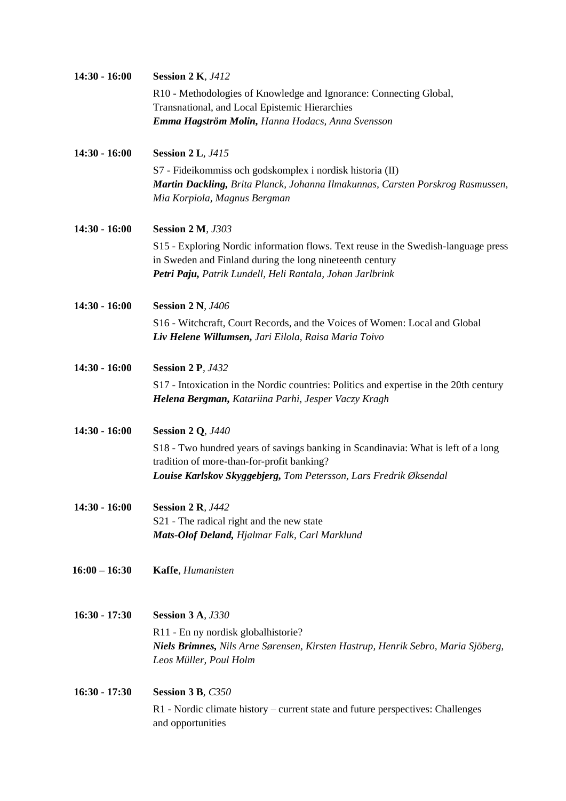| $14:30 - 16:00$ | <b>Session 2 K, J412</b>                                                                                                                                                                                    |
|-----------------|-------------------------------------------------------------------------------------------------------------------------------------------------------------------------------------------------------------|
|                 | R10 - Methodologies of Knowledge and Ignorance: Connecting Global,<br>Transnational, and Local Epistemic Hierarchies                                                                                        |
|                 | Emma Hagström Molin, Hanna Hodacs, Anna Svensson                                                                                                                                                            |
| $14:30 - 16:00$ | <b>Session 2 L, J415</b>                                                                                                                                                                                    |
|                 | S7 - Fideikommiss och godskomplex i nordisk historia (II)<br>Martin Dackling, Brita Planck, Johanna Ilmakunnas, Carsten Porskrog Rasmussen,<br>Mia Korpiola, Magnus Bergman                                 |
| $14:30 - 16:00$ | <b>Session 2 M, J303</b>                                                                                                                                                                                    |
|                 | S15 - Exploring Nordic information flows. Text reuse in the Swedish-language press<br>in Sweden and Finland during the long nineteenth century<br>Petri Paju, Patrik Lundell, Heli Rantala, Johan Jarlbrink |
| $14:30 - 16:00$ | <b>Session 2 N, J406</b>                                                                                                                                                                                    |
|                 | S16 - Witchcraft, Court Records, and the Voices of Women: Local and Global<br>Liv Helene Willumsen, Jari Eilola, Raisa Maria Toivo                                                                          |
| $14:30 - 16:00$ | <b>Session 2 P, J432</b>                                                                                                                                                                                    |
|                 | S17 - Intoxication in the Nordic countries: Politics and expertise in the 20th century<br>Helena Bergman, Katariina Parhi, Jesper Vaczy Kragh                                                               |
| $14:30 - 16:00$ | <b>Session 2 Q, J440</b>                                                                                                                                                                                    |
|                 | S18 - Two hundred years of savings banking in Scandinavia: What is left of a long<br>tradition of more-than-for-profit banking?                                                                             |
|                 | Louise Karlskov Skyggebjerg, Tom Petersson, Lars Fredrik Øksendal                                                                                                                                           |
| $14:30 - 16:00$ | <b>Session 2 R, J442</b>                                                                                                                                                                                    |
|                 | S21 - The radical right and the new state<br>Mats-Olof Deland, Hjalmar Falk, Carl Marklund                                                                                                                  |
| $16:00 - 16:30$ | Kaffe, Humanisten                                                                                                                                                                                           |
| $16:30 - 17:30$ | <b>Session 3 A, J330</b>                                                                                                                                                                                    |
|                 | R <sub>11</sub> - En ny nordisk globalhistorie?<br>Niels Brimnes, Nils Arne Sørensen, Kirsten Hastrup, Henrik Sebro, Maria Sjöberg,<br>Leos Müller, Poul Holm                                               |
| $16:30 - 17:30$ | Session 3 B, C350                                                                                                                                                                                           |
|                 | R1 - Nordic climate history – current state and future perspectives: Challenges<br>and opportunities                                                                                                        |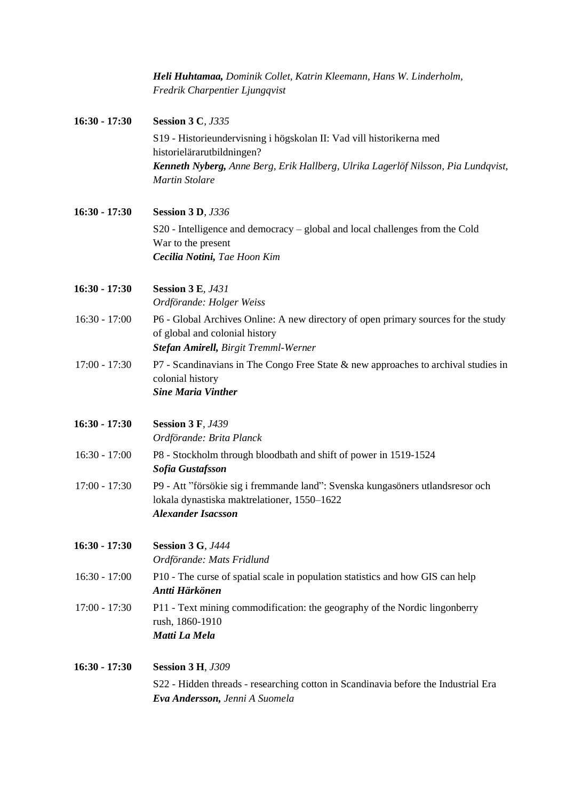|                 | Heli Huhtamaa, Dominik Collet, Katrin Kleemann, Hans W. Linderholm,<br>Fredrik Charpentier Ljungqvist                                                        |
|-----------------|--------------------------------------------------------------------------------------------------------------------------------------------------------------|
| $16:30 - 17:30$ | <b>Session 3 C, J335</b>                                                                                                                                     |
|                 | S19 - Historieundervisning i högskolan II: Vad vill historikerna med<br>historielärarutbildningen?                                                           |
|                 | Kenneth Nyberg, Anne Berg, Erik Hallberg, Ulrika Lagerlöf Nilsson, Pia Lundqvist,<br><b>Martin Stolare</b>                                                   |
| $16:30 - 17:30$ | <b>Session 3 D, J336</b>                                                                                                                                     |
|                 | S20 - Intelligence and democracy – global and local challenges from the Cold<br>War to the present<br>Cecilia Notini, Tae Hoon Kim                           |
| $16:30 - 17:30$ | <b>Session 3 E, J431</b><br>Ordförande: Holger Weiss                                                                                                         |
| $16:30 - 17:00$ | P6 - Global Archives Online: A new directory of open primary sources for the study<br>of global and colonial history<br>Stefan Amirell, Birgit Tremml-Werner |
| $17:00 - 17:30$ | P7 - Scandinavians in The Congo Free State & new approaches to archival studies in<br>colonial history<br><b>Sine Maria Vinther</b>                          |
| $16:30 - 17:30$ | <b>Session 3 F, J439</b><br>Ordförande: Brita Planck                                                                                                         |
| $16:30 - 17:00$ | P8 - Stockholm through bloodbath and shift of power in 1519-1524<br>Sofia Gustafsson                                                                         |
| $17:00 - 17:30$ | P9 - Att "försökie sig i fremmande land": Svenska kungasöners utlandsresor och<br>lokala dynastiska maktrelationer, 1550-1622<br><b>Alexander Isacsson</b>   |
| $16:30 - 17:30$ | <b>Session 3 G, J444</b><br>Ordförande: Mats Fridlund                                                                                                        |
| $16:30 - 17:00$ | P10 - The curse of spatial scale in population statistics and how GIS can help<br>Antti Härkönen                                                             |
| $17:00 - 17:30$ | P11 - Text mining commodification: the geography of the Nordic lingonberry<br>rush, 1860-1910<br>Matti La Mela                                               |
| $16:30 - 17:30$ | <b>Session 3 H, J309</b>                                                                                                                                     |
|                 | S22 - Hidden threads - researching cotton in Scandinavia before the Industrial Era<br>Eva Andersson, Jenni A Suomela                                         |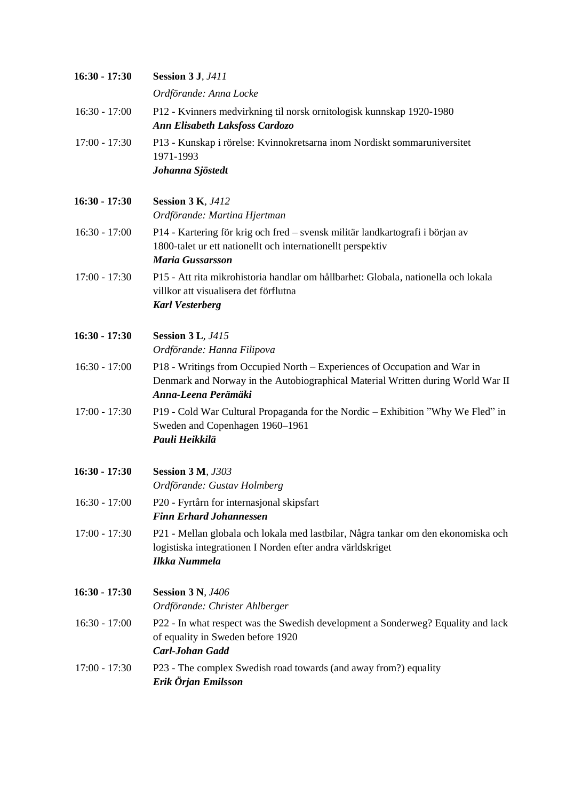| $16:30 - 17:30$ | <b>Session 3 J, J411</b>                                                                                                                                                            |
|-----------------|-------------------------------------------------------------------------------------------------------------------------------------------------------------------------------------|
|                 | Ordförande: Anna Locke                                                                                                                                                              |
| $16:30 - 17:00$ | P12 - Kvinners medvirkning til norsk ornitologisk kunnskap 1920-1980<br>Ann Elisabeth Laksfoss Cardozo                                                                              |
| $17:00 - 17:30$ | P13 - Kunskap i rörelse: Kvinnokretsarna inom Nordiskt sommaruniversitet<br>1971-1993<br>Johanna Sjöstedt                                                                           |
| $16:30 - 17:30$ | <b>Session 3 K, J412</b><br>Ordförande: Martina Hjertman                                                                                                                            |
| $16:30 - 17:00$ | P14 - Kartering för krig och fred – svensk militär landkartografi i början av<br>1800-talet ur ett nationellt och internationellt perspektiv<br><b>Maria Gussarsson</b>             |
| $17:00 - 17:30$ | P15 - Att rita mikrohistoria handlar om hållbarhet: Globala, nationella och lokala<br>villkor att visualisera det förflutna<br><b>Karl Vesterberg</b>                               |
| $16:30 - 17:30$ | <b>Session 3 L, J415</b><br>Ordförande: Hanna Filipova                                                                                                                              |
| $16:30 - 17:00$ | P18 - Writings from Occupied North - Experiences of Occupation and War in<br>Denmark and Norway in the Autobiographical Material Written during World War II<br>Anna-Leena Perämäki |
| $17:00 - 17:30$ | P19 - Cold War Cultural Propaganda for the Nordic - Exhibition "Why We Fled" in<br>Sweden and Copenhagen 1960-1961<br>Pauli Heikkilä                                                |
| $16:30 - 17:30$ | <b>Session 3 M, J303</b><br>Ordförande: Gustav Holmberg                                                                                                                             |
| $16:30 - 17:00$ | P20 - Fyrtårn for internasjonal skipsfart<br><b>Finn Erhard Johannessen</b>                                                                                                         |
| $17:00 - 17:30$ | P21 - Mellan globala och lokala med lastbilar, Några tankar om den ekonomiska och<br>logistiska integrationen I Norden efter andra världskriget<br><b>Ilkka Nummela</b>             |
| $16:30 - 17:30$ | <b>Session 3 N, J406</b><br>Ordförande: Christer Ahlberger                                                                                                                          |
| $16:30 - 17:00$ | P22 - In what respect was the Swedish development a Sonderweg? Equality and lack<br>of equality in Sweden before 1920<br>Carl-Johan Gadd                                            |
| $17:00 - 17:30$ | P23 - The complex Swedish road towards (and away from?) equality<br>Erik Örjan Emilsson                                                                                             |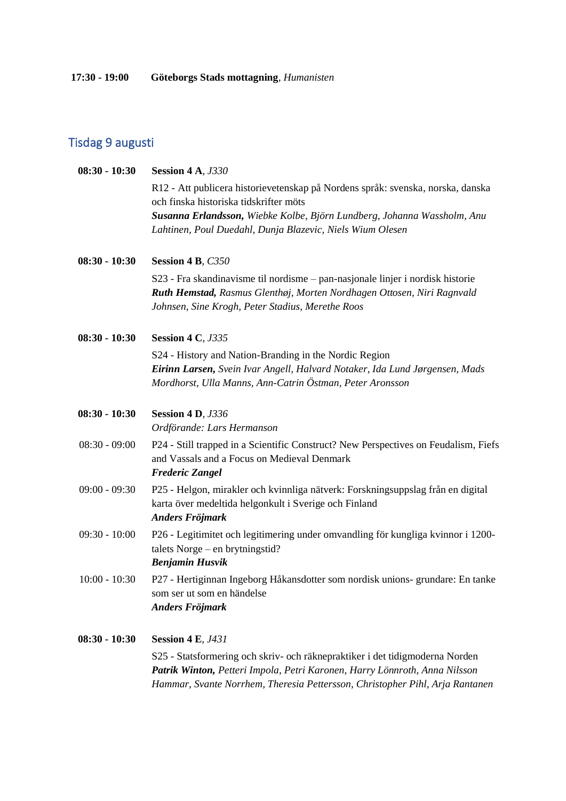# Tisdag 9 augusti

| $08:30 - 10:30$ | <b>Session 4 A, J330</b>                                                                                                  |
|-----------------|---------------------------------------------------------------------------------------------------------------------------|
|                 | R12 - Att publicera historievetenskap på Nordens språk: svenska, norska, danska<br>och finska historiska tidskrifter möts |
|                 | Susanna Erlandsson, Wiebke Kolbe, Björn Lundberg, Johanna Wassholm, Anu                                                   |
|                 | Lahtinen, Poul Duedahl, Dunja Blazevic, Niels Wium Olesen                                                                 |
| $08:30 - 10:30$ | Session 4 B, C350                                                                                                         |
|                 | S23 - Fra skandinavisme til nordisme – pan-nasjonale linjer i nordisk historie                                            |
|                 | Ruth Hemstad, Rasmus Glenthøj, Morten Nordhagen Ottosen, Niri Ragnvald                                                    |
|                 | Johnsen, Sine Krogh, Peter Stadius, Merethe Roos                                                                          |
| $08:30 - 10:30$ | <b>Session 4 C, J335</b>                                                                                                  |
|                 | S24 - History and Nation-Branding in the Nordic Region                                                                    |
|                 | Eirinn Larsen, Svein Ivar Angell, Halvard Notaker, Ida Lund Jørgensen, Mads                                               |
|                 | Mordhorst, Ulla Manns, Ann-Catrin Östman, Peter Aronsson                                                                  |
| $08:30 - 10:30$ | <b>Session 4 D, J336</b>                                                                                                  |
|                 | Ordförande: Lars Hermanson                                                                                                |
| $08:30 - 09:00$ | P24 - Still trapped in a Scientific Construct? New Perspectives on Feudalism, Fiefs                                       |
|                 | and Vassals and a Focus on Medieval Denmark                                                                               |
|                 | <b>Frederic Zangel</b>                                                                                                    |
| $09:00 - 09:30$ | P25 - Helgon, mirakler och kvinnliga nätverk: Forskningsuppslag från en digital                                           |
|                 | karta över medeltida helgonkult i Sverige och Finland<br>Anders Fröjmark                                                  |
| $09:30 - 10:00$ | P26 - Legitimitet och legitimering under omvandling för kungliga kvinnor i 1200-                                          |
|                 | talets Norge $-$ en brytningstid?                                                                                         |
|                 | <b>Benjamin Husvik</b>                                                                                                    |
| $10:00 - 10:30$ | P27 - Hertiginnan Ingeborg Håkansdotter som nordisk unions- grundare: En tanke                                            |
|                 | som ser ut som en händelse                                                                                                |
|                 | Anders Fröjmark                                                                                                           |
| $08:30 - 10:30$ | <b>Session 4 E, J431</b>                                                                                                  |
|                 | S25 - Statsformering och skriv- och räknepraktiker i det tidigmoderna Norden                                              |
|                 | Patrik Winton, Petteri Impola, Petri Karonen, Harry Lönnroth, Anna Nilsson                                                |
|                 | Hammar, Svante Norrhem, Theresia Pettersson, Christopher Pihl, Arja Rantanen                                              |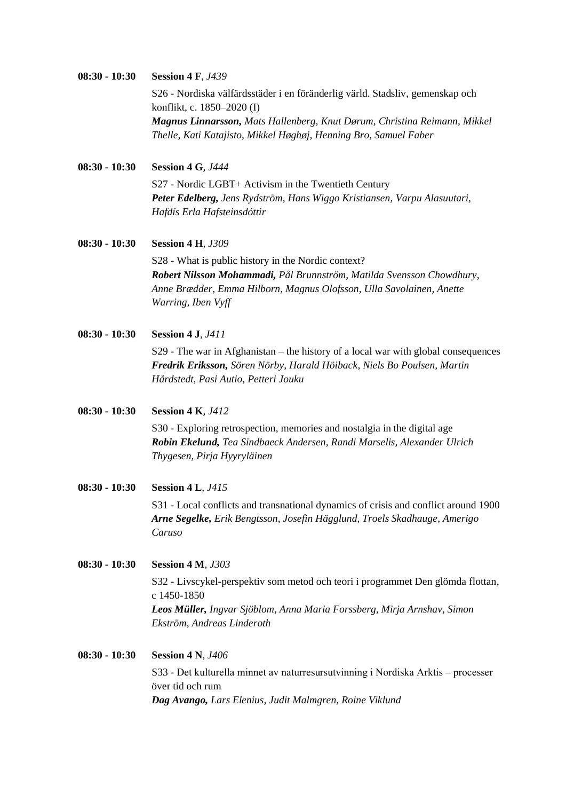#### **08:30 - 10:30 Session 4 F***, J439* S26 - Nordiska välfärdsstäder i en föränderlig värld. Stadsliv, gemenskap och konflikt, c. 1850–2020 (I) *Magnus Linnarsson, Mats Hallenberg, Knut Dørum, Christina Reimann, Mikkel Thelle, Kati Katajisto, Mikkel Høghøj, Henning Bro, Samuel Faber*

**08:30 - 10:30 Session 4 G***, J444*

S27 - Nordic LGBT+ Activism in the Twentieth Century *Peter Edelberg, Jens Rydström, Hans Wiggo Kristiansen, Varpu Alasuutari, Hafdís Erla Hafsteinsdóttir*

#### **08:30 - 10:30 Session 4 H***, J309*

S28 - What is public history in the Nordic context? *Robert Nilsson Mohammadi, Pål Brunnström, Matilda Svensson Chowdhury, Anne Brædder, Emma Hilborn, Magnus Olofsson, Ulla Savolainen, Anette Warring, Iben Vyff*

**08:30 - 10:30 Session 4 J***, J411*

S29 - The war in Afghanistan – the history of a local war with global consequences *Fredrik Eriksson, Sören Nörby, Harald Höiback, Niels Bo Poulsen, Martin Hårdstedt, Pasi Autio, Petteri Jouku*

**08:30 - 10:30 Session 4 K***, J412*

S30 - Exploring retrospection, memories and nostalgia in the digital age *Robin Ekelund, Tea Sindbaeck Andersen, Randi Marselis, Alexander Ulrich Thygesen, Pirja Hyyryläinen*

**08:30 - 10:30 Session 4 L***, J415*

S31 - Local conflicts and transnational dynamics of crisis and conflict around 1900 *Arne Segelke, Erik Bengtsson, Josefin Hägglund, Troels Skadhauge, Amerigo Caruso*

**08:30 - 10:30 Session 4 M***, J303* S32 - Livscykel-perspektiv som metod och teori i programmet Den glömda flottan, c 1450-1850 *Leos Müller, Ingvar Sjöblom, Anna Maria Forssberg, Mirja Arnshav, Simon Ekström, Andreas Linderoth*

## **08:30 - 10:30 Session 4 N***, J406* S33 - Det kulturella minnet av naturresursutvinning i Nordiska Arktis – processer över tid och rum *Dag Avango, Lars Elenius, Judit Malmgren, Roine Viklund*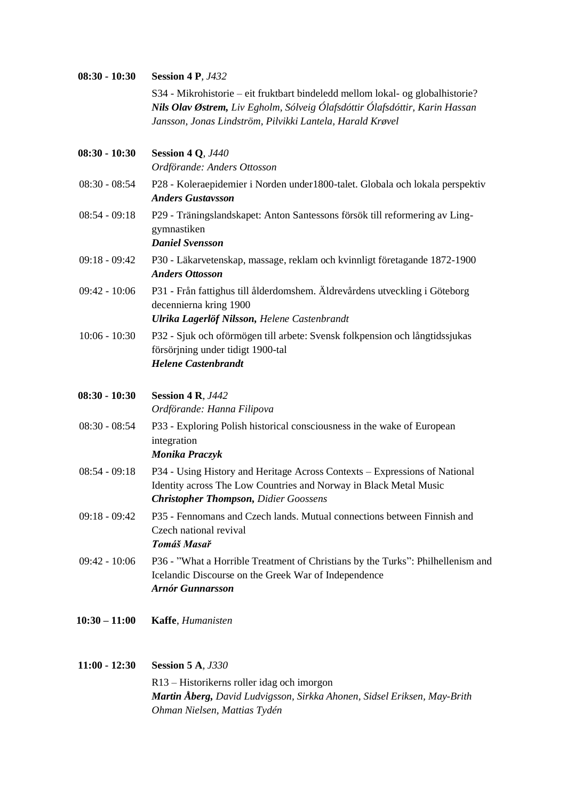| $08:30 - 10:30$ | <b>Session 4 P, J432</b>                                                                                                                                                                                                   |
|-----------------|----------------------------------------------------------------------------------------------------------------------------------------------------------------------------------------------------------------------------|
|                 | S34 - Mikrohistorie – eit fruktbart bindeledd mellom lokal- og globalhistorie?<br>Nils Olav Østrem, Liv Egholm, Sólveig Ólafsdóttir Ólafsdóttir, Karin Hassan<br>Jansson, Jonas Lindström, Pilvikki Lantela, Harald Krøvel |
|                 |                                                                                                                                                                                                                            |
| $08:30 - 10:30$ | <b>Session 4 Q, J440</b><br>Ordförande: Anders Ottosson                                                                                                                                                                    |
| $08:30 - 08:54$ | P28 - Koleraepidemier i Norden under 1800-talet. Globala och lokala perspektiv<br><b>Anders Gustavsson</b>                                                                                                                 |
| $08:54 - 09:18$ | P29 - Träningslandskapet: Anton Santessons försök till reformering av Ling-<br>gymnastiken<br><b>Daniel Svensson</b>                                                                                                       |
| $09:18 - 09:42$ | P30 - Läkarvetenskap, massage, reklam och kvinnligt företagande 1872-1900<br><b>Anders Ottosson</b>                                                                                                                        |
| $09:42 - 10:06$ | P31 - Från fattighus till ålderdomshem. Äldrevårdens utveckling i Göteborg<br>decennierna kring 1900<br>Ulrika Lagerlöf Nilsson, Helene Castenbrandt                                                                       |
| $10:06 - 10:30$ | P32 - Sjuk och oförmögen till arbete: Svensk folkpension och långtidssjukas<br>försörjning under tidigt 1900-tal<br><b>Helene Castenbrandt</b>                                                                             |
| $08:30 - 10:30$ | <b>Session 4 R, J442</b><br>Ordförande: Hanna Filipova                                                                                                                                                                     |
| $08:30 - 08:54$ | P33 - Exploring Polish historical consciousness in the wake of European<br>integration<br>Monika Praczyk                                                                                                                   |
| $08:54 - 09:18$ | P34 - Using History and Heritage Across Contexts - Expressions of National<br>Identity across The Low Countries and Norway in Black Metal Music<br><b>Christopher Thompson, Didier Goossens</b>                            |
| $09:18 - 09:42$ | P35 - Fennomans and Czech lands. Mutual connections between Finnish and<br>Czech national revival<br>Tomáš Masař                                                                                                           |
| $09:42 - 10:06$ | P36 - "What a Horrible Treatment of Christians by the Turks": Philhellenism and<br>Icelandic Discourse on the Greek War of Independence<br><b>Arnór Gunnarsson</b>                                                         |
| $10:30 - 11:00$ | Kaffe, Humanisten                                                                                                                                                                                                          |
| $11:00 - 12:30$ | <b>Session 5 A, J330</b>                                                                                                                                                                                                   |
|                 | R13 – Historikerns roller idag och imorgon                                                                                                                                                                                 |

*Martin Åberg, David Ludvigsson, Sirkka Ahonen, Sidsel Eriksen, May-Brith Ohman Nielsen, Mattias Tydén*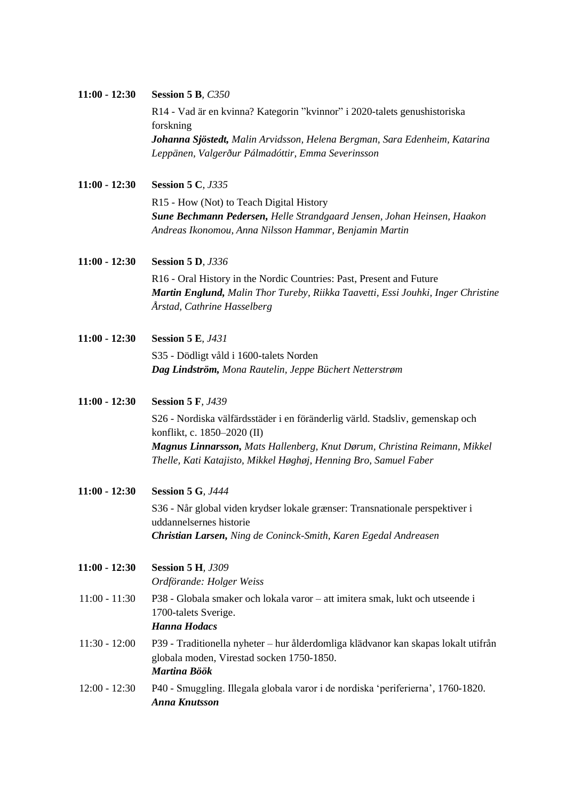| $11:00 - 12:30$ | <b>Session 5 B, C350</b>                                                                                                                      |
|-----------------|-----------------------------------------------------------------------------------------------------------------------------------------------|
|                 | R14 - Vad är en kvinna? Kategorin "kvinnor" i 2020-talets genushistoriska                                                                     |
|                 | forskning                                                                                                                                     |
|                 | <b>Johanna Sjöstedt,</b> Malin Arvidsson, Helena Bergman, Sara Edenheim, Katarina                                                             |
|                 | Leppänen, Valgerður Pálmadóttir, Emma Severinsson                                                                                             |
| $11:00 - 12:30$ | <b>Session 5 C, J335</b>                                                                                                                      |
|                 | R15 - How (Not) to Teach Digital History                                                                                                      |
|                 | Sune Bechmann Pedersen, Helle Strandgaard Jensen, Johan Heinsen, Haakon                                                                       |
|                 | Andreas Ikonomou, Anna Nilsson Hammar, Benjamin Martin                                                                                        |
| $11:00 - 12:30$ | <b>Session 5 D, J336</b>                                                                                                                      |
|                 | R16 - Oral History in the Nordic Countries: Past, Present and Future                                                                          |
|                 | Martin Englund, Malin Thor Tureby, Riikka Taavetti, Essi Jouhki, Inger Christine                                                              |
|                 | Årstad, Cathrine Hasselberg                                                                                                                   |
| $11:00 - 12:30$ | <b>Session 5 E, J431</b>                                                                                                                      |
|                 | S35 - Dödligt våld i 1600-talets Norden                                                                                                       |
|                 | Dag Lindström, Mona Rautelin, Jeppe Büchert Netterstrøm                                                                                       |
| $11:00 - 12:30$ | <b>Session 5 F, J439</b>                                                                                                                      |
|                 | S26 - Nordiska välfärdsstäder i en föränderlig värld. Stadsliv, gemenskap och                                                                 |
|                 | konflikt, c. 1850–2020 (II)                                                                                                                   |
|                 | Magnus Linnarsson, Mats Hallenberg, Knut Dørum, Christina Reimann, Mikkel<br>Thelle, Kati Katajisto, Mikkel Høghøj, Henning Bro, Samuel Faber |
|                 |                                                                                                                                               |
| $11:00 - 12:30$ | <b>Session 5 G, J444</b>                                                                                                                      |
|                 | S36 - Når global viden krydser lokale grænser: Transnationale perspektiver i                                                                  |
|                 | uddannelsernes historie                                                                                                                       |
|                 | Christian Larsen, Ning de Coninck-Smith, Karen Egedal Andreasen                                                                               |
| $11:00 - 12:30$ | <b>Session 5 H, J309</b>                                                                                                                      |
|                 | Ordförande: Holger Weiss                                                                                                                      |
| $11:00 - 11:30$ | P38 - Globala smaker och lokala varor – att imitera smak, lukt och utseende i                                                                 |
|                 | 1700-talets Sverige.                                                                                                                          |
|                 | <b>Hanna Hodacs</b>                                                                                                                           |
| $11:30 - 12:00$ | P39 - Traditionella nyheter – hur ålderdomliga klädvanor kan skapas lokalt utifrån                                                            |
|                 | globala moden, Virestad socken 1750-1850.<br>Martina Böök                                                                                     |
| $12:00 - 12:30$ | P40 - Smuggling. Illegala globala varor i de nordiska 'periferierna', 1760-1820.                                                              |
|                 | <b>Anna Knutsson</b>                                                                                                                          |
|                 |                                                                                                                                               |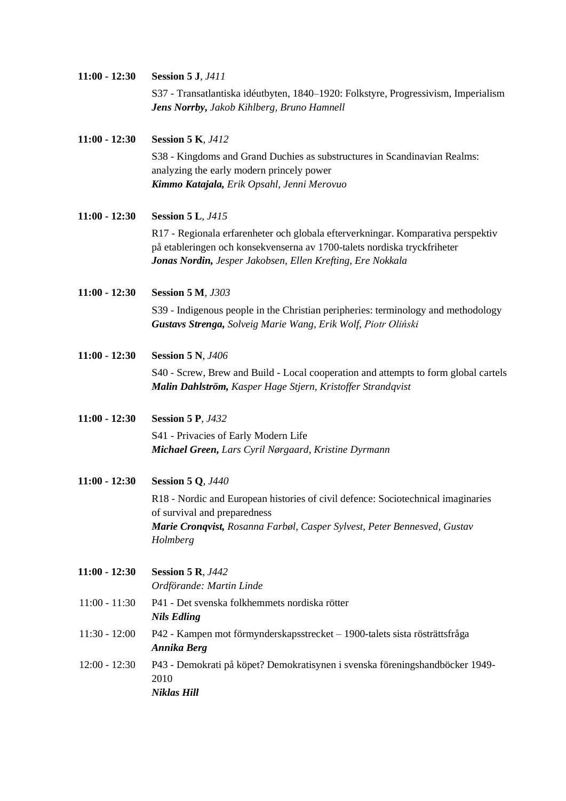| $11:00 - 12:30$ | <b>Session 5 J, J411</b>                                                                                                                |  |
|-----------------|-----------------------------------------------------------------------------------------------------------------------------------------|--|
|                 | S37 - Transatlantiska idéutbyten, 1840–1920: Folkstyre, Progressivism, Imperialism<br><b>Jens Norrby, Jakob Kihlberg, Bruno Hamnell</b> |  |
| $11:00 - 12:30$ | <b>Session 5 K</b> <i>J412</i>                                                                                                          |  |

S38 - Kingdoms and Grand Duchies as substructures in Scandinavian Realms: analyzing the early modern princely power *Kimmo Katajala, Erik Opsahl, Jenni Merovuo*

**11:00 - 12:30 Session 5 L***, J415*

R17 - Regionala erfarenheter och globala efterverkningar. Komparativa perspektiv på etableringen och konsekvenserna av 1700-talets nordiska tryckfriheter *Jonas Nordin, Jesper Jakobsen, Ellen Krefting, Ere Nokkala*

**11:00 - 12:30 Session 5 M***, J303*

S39 - Indigenous people in the Christian peripheries: terminology and methodology *Gustavs Strenga, Solveig Marie Wang, Erik Wolf, Piotr Oliński*

- **11:00 - 12:30 Session 5 N***, J406* S40 - Screw, Brew and Build - Local cooperation and attempts to form global cartels *Malin Dahlström, Kasper Hage Stjern, Kristoffer Strandqvist*
- **11:00 - 12:30 Session 5 P***, J432* S41 - Privacies of Early Modern Life *Michael Green, Lars Cyril Nørgaard, Kristine Dyrmann*
- **11:00 - 12:30 Session 5 Q***, J440* R18 - Nordic and European histories of civil defence: Sociotechnical imaginaries of survival and preparedness *Marie Cronqvist, Rosanna Farbøl, Casper Sylvest, Peter Bennesved, Gustav Holmberg*

**11:00 - 12:30 Session 5 R***, J442 Ordförande: Martin Linde*

- 11:00 11:30 P41 Det svenska folkhemmets nordiska rötter *Nils Edling*
- 11:30 12:00 P42 Kampen mot förmynderskapsstrecket 1900-talets sista rösträttsfråga *Annika Berg*
- 12:00 12:30 P43 Demokrati på köpet? Demokratisynen i svenska föreningshandböcker 1949- 2010 *Niklas Hill*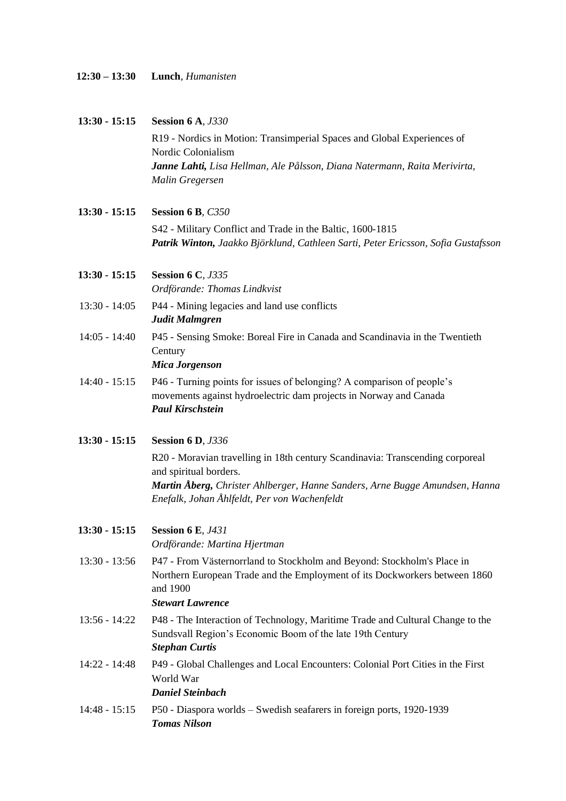| $12:30 - 13:30$ |  | Lunch, Humanisten |
|-----------------|--|-------------------|
|-----------------|--|-------------------|

| $13:30 - 15:15$ | <b>Session 6 A, J330</b>                                                                                                                                                                     |
|-----------------|----------------------------------------------------------------------------------------------------------------------------------------------------------------------------------------------|
|                 | R19 - Nordics in Motion: Transimperial Spaces and Global Experiences of                                                                                                                      |
|                 | Nordic Colonialism                                                                                                                                                                           |
|                 | Janne Lahti, Lisa Hellman, Ale Pålsson, Diana Natermann, Raita Merivirta,                                                                                                                    |
|                 | Malin Gregersen                                                                                                                                                                              |
| $13:30 - 15:15$ | Session 6 B, C350                                                                                                                                                                            |
|                 | S42 - Military Conflict and Trade in the Baltic, 1600-1815<br>Patrik Winton, Jaakko Björklund, Cathleen Sarti, Peter Ericsson, Sofia Gustafsson                                              |
| $13:30 - 15:15$ | <b>Session 6 C, J335</b>                                                                                                                                                                     |
|                 | Ordförande: Thomas Lindkvist                                                                                                                                                                 |
| $13:30 - 14:05$ | P44 - Mining legacies and land use conflicts<br>Judit Malmgren                                                                                                                               |
| $14:05 - 14:40$ | P45 - Sensing Smoke: Boreal Fire in Canada and Scandinavia in the Twentieth<br>Century                                                                                                       |
|                 | <b>Mica Jorgenson</b>                                                                                                                                                                        |
| $14:40 - 15:15$ | P46 - Turning points for issues of belonging? A comparison of people's<br>movements against hydroelectric dam projects in Norway and Canada<br><b>Paul Kirschstein</b>                       |
| $13:30 - 15:15$ | <b>Session 6 D, J336</b>                                                                                                                                                                     |
|                 | R20 - Moravian travelling in 18th century Scandinavia: Transcending corporeal<br>and spiritual borders.                                                                                      |
|                 | Martin Åberg, Christer Ahlberger, Hanne Sanders, Arne Bugge Amundsen, Hanna<br>Enefalk, Johan Åhlfeldt, Per von Wachenfeldt                                                                  |
| $13:30 - 15:15$ | <b>Session 6 E, J431</b><br>Ordförande: Martina Hjertman                                                                                                                                     |
| $13:30 - 13:56$ | P47 - From Västernorrland to Stockholm and Beyond: Stockholm's Place in<br>Northern European Trade and the Employment of its Dockworkers between 1860<br>and 1900<br><b>Stewart Lawrence</b> |
| $13:56 - 14:22$ | P48 - The Interaction of Technology, Maritime Trade and Cultural Change to the<br>Sundsvall Region's Economic Boom of the late 19th Century<br><b>Stephan Curtis</b>                         |
| $14:22 - 14:48$ | P49 - Global Challenges and Local Encounters: Colonial Port Cities in the First<br>World War<br><b>Daniel Steinbach</b>                                                                      |
| $14:48 - 15:15$ | P50 - Diaspora worlds – Swedish seafarers in foreign ports, 1920-1939<br><b>Tomas Nilson</b>                                                                                                 |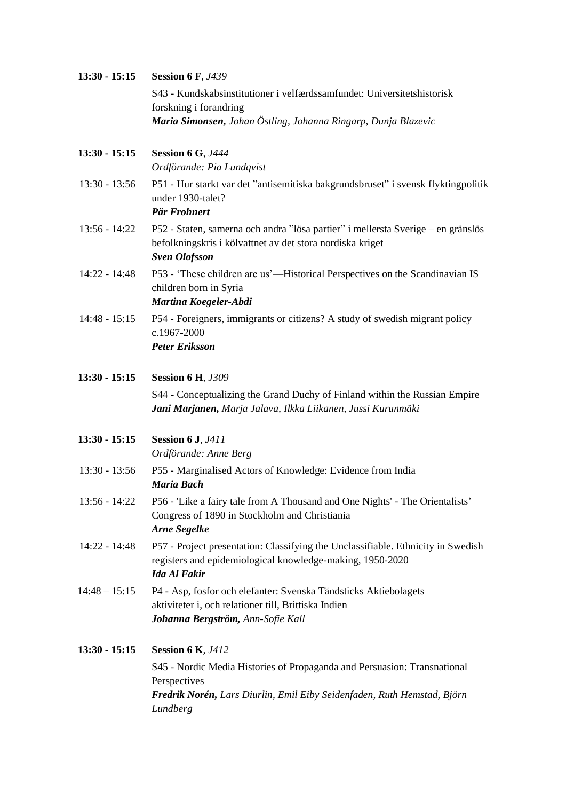| $13:30 - 15:15$ | <b>Session 6 F, J439</b>                                                                                                                                              |
|-----------------|-----------------------------------------------------------------------------------------------------------------------------------------------------------------------|
|                 | S43 - Kundskabsinstitutioner i velfærdssamfundet: Universitetshistorisk                                                                                               |
|                 | forskning i forandring                                                                                                                                                |
|                 | Maria Simonsen, Johan Östling, Johanna Ringarp, Dunja Blazevic                                                                                                        |
| $13:30 - 15:15$ | <b>Session 6 G, J444</b><br>Ordförande: Pia Lundqvist                                                                                                                 |
| $13:30 - 13:56$ | P51 - Hur starkt var det "antisemitiska bakgrundsbruset" i svensk flyktingpolitik<br>under 1930-talet?<br>Pär Frohnert                                                |
| $13:56 - 14:22$ | P52 - Staten, samerna och andra "lösa partier" i mellersta Sverige – en gränslös<br>befolkningskris i kölvattnet av det stora nordiska kriget<br><b>Sven Olofsson</b> |
| $14:22 - 14:48$ | P53 - 'These children are us'—Historical Perspectives on the Scandinavian IS<br>children born in Syria<br>Martina Koegeler-Abdi                                       |
| $14:48 - 15:15$ | P54 - Foreigners, immigrants or citizens? A study of swedish migrant policy<br>c.1967-2000                                                                            |
|                 | <b>Peter Eriksson</b>                                                                                                                                                 |
| $13:30 - 15:15$ | <b>Session 6 H, J309</b>                                                                                                                                              |
|                 | S44 - Conceptualizing the Grand Duchy of Finland within the Russian Empire<br>Jani Marjanen, Marja Jalava, Ilkka Liikanen, Jussi Kurunmäki                            |
| $13:30 - 15:15$ | <b>Session 6 J, J411</b><br>Ordförande: Anne Berg                                                                                                                     |
| $13:30 - 13:56$ | P55 - Marginalised Actors of Knowledge: Evidence from India<br><b>Maria Bach</b>                                                                                      |
| $13:56 - 14:22$ | P56 - 'Like a fairy tale from A Thousand and One Nights' - The Orientalists'<br>Congress of 1890 in Stockholm and Christiania<br><b>Arne Segelke</b>                  |
| $14:22 - 14:48$ | P57 - Project presentation: Classifying the Unclassifiable. Ethnicity in Swedish<br>registers and epidemiological knowledge-making, 1950-2020<br><b>Ida Al Fakir</b>  |
| $14:48 - 15:15$ | P4 - Asp, fosfor och elefanter: Svenska Tändsticks Aktiebolagets<br>aktiviteter i, och relationer till, Brittiska Indien<br>Johanna Bergström, Ann-Sofie Kall         |
| $13:30 - 15:15$ | <b>Session 6 K, J412</b>                                                                                                                                              |
|                 | S45 - Nordic Media Histories of Propaganda and Persuasion: Transnational<br>Perspectives<br>Fredrik Norén, Lars Diurlin, Emil Eiby Seidenfaden, Ruth Hemstad, Björn   |
|                 | Lundberg                                                                                                                                                              |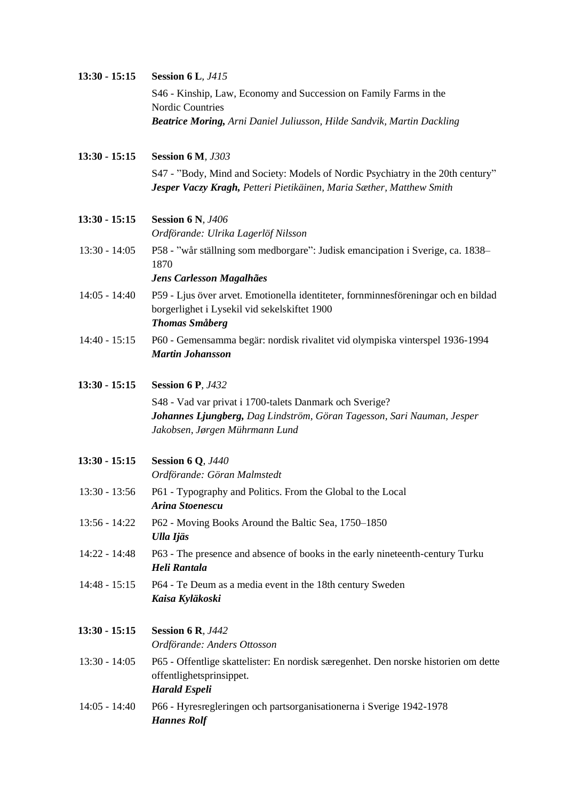| 13:30 - 15:15   | <b>Session 6 L, J415</b>                                                                                                                                            |
|-----------------|---------------------------------------------------------------------------------------------------------------------------------------------------------------------|
|                 | S46 - Kinship, Law, Economy and Succession on Family Farms in the<br><b>Nordic Countries</b>                                                                        |
|                 | Beatrice Moring, Arni Daniel Juliusson, Hilde Sandvik, Martin Dackling                                                                                              |
| 13:30 - 15:15   | <b>Session 6 M, J303</b>                                                                                                                                            |
|                 | S47 - "Body, Mind and Society: Models of Nordic Psychiatry in the 20th century"<br>Jesper Vaczy Kragh, Petteri Pietikäinen, Maria Sæther, Matthew Smith             |
| 13:30 - 15:15   | <b>Session 6 N, J406</b><br>Ordförande: Ulrika Lagerlöf Nilsson                                                                                                     |
| $13:30 - 14:05$ | P58 - "wår ställning som medborgare": Judisk emancipation i Sverige, ca. 1838-<br>1870                                                                              |
|                 | Jens Carlesson Magalhães                                                                                                                                            |
| $14:05 - 14:40$ | P59 - Ljus över arvet. Emotionella identiteter, fornminnesföreningar och en bildad<br>borgerlighet i Lysekil vid sekelskiftet 1900<br><b>Thomas Småberg</b>         |
| $14:40 - 15:15$ | P60 - Gemensamma begär: nordisk rivalitet vid olympiska vinterspel 1936-1994<br><b>Martin Johansson</b>                                                             |
| 13:30 - 15:15   | <b>Session 6 P, J432</b>                                                                                                                                            |
|                 | S48 - Vad var privat i 1700-talets Danmark och Sverige?<br>Johannes Ljungberg, Dag Lindström, Göran Tagesson, Sari Nauman, Jesper<br>Jakobsen, Jørgen Mührmann Lund |
| $13:30 - 15:15$ | <b>Session 6 Q, J440</b><br>Ordförande: Göran Malmstedt                                                                                                             |
| $13:30 - 13:56$ | P61 - Typography and Politics. From the Global to the Local<br>Arina Stoenescu                                                                                      |
| $13:56 - 14:22$ | P62 - Moving Books Around the Baltic Sea, 1750–1850<br>Ulla Ijäs                                                                                                    |
| $14:22 - 14:48$ | P63 - The presence and absence of books in the early nineteenth-century Turku<br>Heli Rantala                                                                       |
| $14:48 - 15:15$ | P64 - Te Deum as a media event in the 18th century Sweden<br>Kaisa Kyläkoski                                                                                        |
| 13:30 - 15:15   | <b>Session 6 R, J442</b><br>Ordförande: Anders Ottosson                                                                                                             |
| $13:30 - 14:05$ | P65 - Offentlige skattelister: En nordisk særegenhet. Den norske historien om dette<br>offentlighetsprinsippet.<br><b>Harald Espeli</b>                             |
| $14:05 - 14:40$ | P66 - Hyresregleringen och partsorganisationerna i Sverige 1942-1978<br><b>Hannes Rolf</b>                                                                          |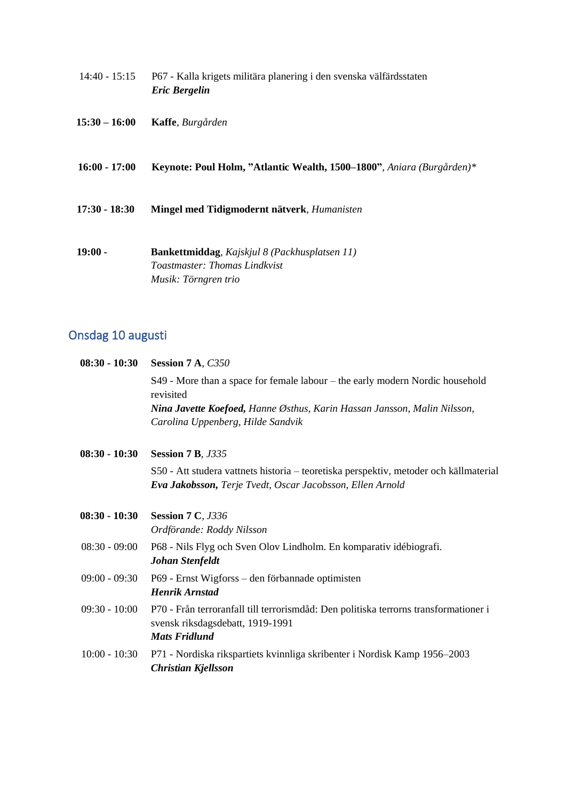- 14:40 15:15 P67 Kalla krigets militära planering i den svenska välfärdsstaten *Eric Bergelin*
- **15:30 – 16:00 Kaffe**, *Burgården*
- **16:00 - 17:00 Keynote: Poul Holm, "Atlantic Wealth, 1500–1800"***, Aniara (Burgården)\**
- **17:30 - 18:30 Mingel med Tidigmodernt nätverk***, Humanisten*
- **19:00 - Bankettmiddag***, Kajskjul 8 (Packhusplatsen 11) Toastmaster: Thomas Lindkvist Musik: Törngren trio*

## Onsdag 10 augusti

| $08:30 - 10:30$ | Session 7 A, C350                                                                                                                                  |
|-----------------|----------------------------------------------------------------------------------------------------------------------------------------------------|
|                 | S49 - More than a space for female labour – the early modern Nordic household<br>revisited                                                         |
|                 | Nina Javette Koefoed, Hanne Østhus, Karin Hassan Jansson, Malin Nilsson,<br>Carolina Uppenberg, Hilde Sandvik                                      |
| $08:30 - 10:30$ | <b>Session 7 B, J335</b>                                                                                                                           |
|                 | S50 - Att studera vattnets historia – teoretiska perspektiv, metoder och källmaterial<br>Eva Jakobsson, Terje Tvedt, Oscar Jacobsson, Ellen Arnold |
| $08:30 - 10:30$ | <b>Session 7 C, J336</b><br>Ordförande: Roddy Nilsson                                                                                              |
| $08:30 - 09:00$ | P68 - Nils Flyg och Sven Olov Lindholm. En komparativ idébiografi.<br><b>Johan Stenfeldt</b>                                                       |
| $09:00 - 09:30$ | P69 - Ernst Wigforss – den förbannade optimisten<br><b>Henrik Arnstad</b>                                                                          |
| $09:30 - 10:00$ | P70 - Från terroranfall till terrorismdåd: Den politiska terrorns transformationer i<br>svensk riksdagsdebatt, 1919-1991<br><b>Mats Fridlund</b>   |
| $10:00 - 10:30$ | P71 - Nordiska rikspartiets kvinnliga skribenter i Nordisk Kamp 1956–2003<br><b>Christian Kjellsson</b>                                            |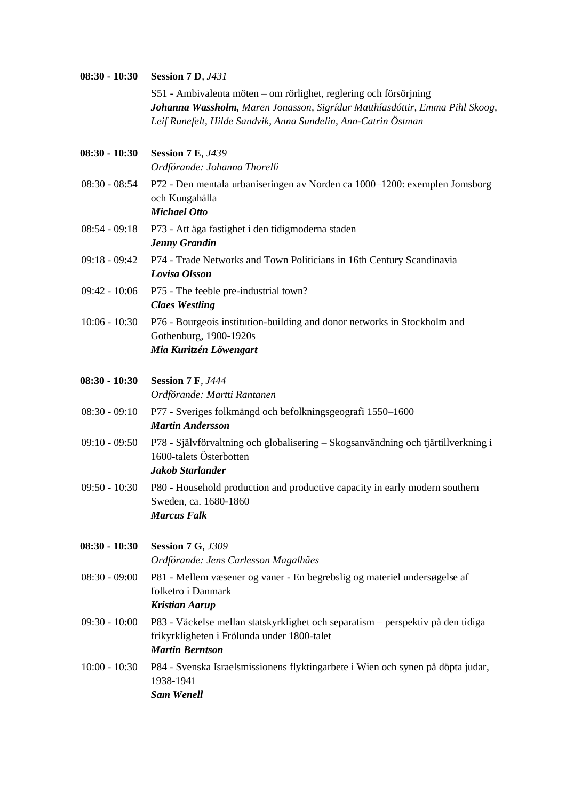| $08:30 - 10:30$ | <b>Session 7 D, J431</b><br>S51 - Ambivalenta möten – om rörlighet, reglering och försörjning<br>Johanna Wassholm, Maren Jonasson, Sigrídur Matthíasdóttir, Emma Pihl Skoog,<br>Leif Runefelt, Hilde Sandvik, Anna Sundelin, Ann-Catrin Östman |
|-----------------|------------------------------------------------------------------------------------------------------------------------------------------------------------------------------------------------------------------------------------------------|
| $08:30 - 10:30$ | <b>Session 7 E, J439</b><br>Ordförande: Johanna Thorelli                                                                                                                                                                                       |
| $08:30 - 08:54$ | P72 - Den mentala urbaniseringen av Norden ca 1000–1200: exemplen Jomsborg<br>och Kungahälla<br><b>Michael Otto</b>                                                                                                                            |
| $08:54 - 09:18$ | P73 - Att äga fastighet i den tidigmoderna staden<br><b>Jenny Grandin</b>                                                                                                                                                                      |
| $09:18 - 09:42$ | P74 - Trade Networks and Town Politicians in 16th Century Scandinavia<br>Lovisa Olsson                                                                                                                                                         |
| $09:42 - 10:06$ | P75 - The feeble pre-industrial town?<br><b>Claes Westling</b>                                                                                                                                                                                 |
| $10:06 - 10:30$ | P76 - Bourgeois institution-building and donor networks in Stockholm and<br>Gothenburg, 1900-1920s<br>Mia Kuritzén Löwengart                                                                                                                   |
| $08:30 - 10:30$ | <b>Session 7 F, J444</b>                                                                                                                                                                                                                       |
| $08:30 - 09:10$ | Ordförande: Martti Rantanen<br>P77 - Sveriges folkmängd och befolkningsgeografi 1550–1600<br><b>Martin Andersson</b>                                                                                                                           |
| $09:10 - 09:50$ | P78 - Självförvaltning och globalisering – Skogsanvändning och tjärtillverkning i<br>1600-talets Österbotten<br>Jakob Starlander                                                                                                               |
|                 | 09:50 - 10:30 P80 - Household production and productive capacity in early modern southern<br>Sweden, ca. 1680-1860<br><b>Marcus Falk</b>                                                                                                       |
| $08:30 - 10:30$ | <b>Session 7 G, J309</b><br>Ordförande: Jens Carlesson Magalhães                                                                                                                                                                               |
| $08:30 - 09:00$ | P81 - Mellem væsener og vaner - En begrebslig og materiel undersøgelse af<br>folketro i Danmark<br><b>Kristian Aarup</b>                                                                                                                       |
| $09:30 - 10:00$ | P83 - Väckelse mellan statskyrklighet och separatism – perspektiv på den tidiga<br>frikyrkligheten i Frölunda under 1800-talet<br><b>Martin Berntson</b>                                                                                       |
| $10:00 - 10:30$ | P84 - Svenska Israelsmissionens flyktingarbete i Wien och synen på döpta judar,<br>1938-1941<br><b>Sam Wenell</b>                                                                                                                              |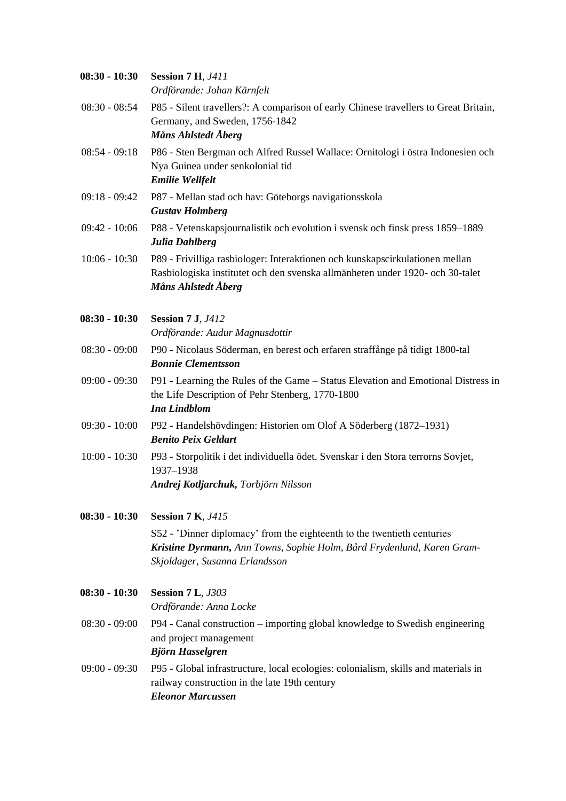| $08:30 - 10:30$ | <b>Session 7 H, J411</b><br>Ordförande: Johan Kärnfelt                                                                                                                               |
|-----------------|--------------------------------------------------------------------------------------------------------------------------------------------------------------------------------------|
| $08:30 - 08:54$ | P85 - Silent travellers?: A comparison of early Chinese travellers to Great Britain,<br>Germany, and Sweden, 1756-1842<br>Måns Ahlstedt Åberg                                        |
| $08:54 - 09:18$ | P86 - Sten Bergman och Alfred Russel Wallace: Ornitologi i östra Indonesien och<br>Nya Guinea under senkolonial tid<br><b>Emilie Wellfelt</b>                                        |
| $09:18 - 09:42$ | P87 - Mellan stad och hav: Göteborgs navigationsskola<br><b>Gustav Holmberg</b>                                                                                                      |
| $09:42 - 10:06$ | P88 - Vetenskapsjournalistik och evolution i svensk och finsk press 1859–1889<br>Julia Dahlberg                                                                                      |
| $10:06 - 10:30$ | P89 - Frivilliga rasbiologer: Interaktionen och kunskapscirkulationen mellan<br>Rasbiologiska institutet och den svenska allmänheten under 1920- och 30-talet<br>Måns Ahlstedt Åberg |
| $08:30 - 10:30$ | <b>Session 7 J, J412</b><br>Ordförande: Audur Magnusdottir                                                                                                                           |
| $08:30 - 09:00$ | P90 - Nicolaus Söderman, en berest och erfaren straffånge på tidigt 1800-tal<br><b>Bonnie Clementsson</b>                                                                            |
| $09:00 - 09:30$ | P91 - Learning the Rules of the Game - Status Elevation and Emotional Distress in<br>the Life Description of Pehr Stenberg, 1770-1800<br>Ina Lindblom                                |
| $09:30 - 10:00$ | P92 - Handelshövdingen: Historien om Olof A Söderberg (1872–1931)<br><b>Benito Peix Geldart</b>                                                                                      |
| $10:00 - 10:30$ | P93 - Storpolitik i det individuella ödet. Svenskar i den Stora terrorns Sovjet,<br>1937-1938<br>Andrej Kotljarchuk, Torbjörn Nilsson                                                |
| $08:30 - 10:30$ | <b>Session 7 K, J415</b>                                                                                                                                                             |
|                 | S52 - 'Dinner diplomacy' from the eighteenth to the twentieth centuries<br>Kristine Dyrmann, Ann Towns, Sophie Holm, Bård Frydenlund, Karen Gram-<br>Skjoldager, Susanna Erlandsson  |
| $08:30 - 10:30$ | <b>Session 7 L, J303</b><br>Ordförande: Anna Locke                                                                                                                                   |
| $08:30 - 09:00$ | P94 - Canal construction – importing global knowledge to Swedish engineering<br>and project management                                                                               |
| $09:00 - 09:30$ | P95 - Global infrastructure, local ecologies: colonialism, skills and materials in<br>railway construction in the late 19th century<br><b>Eleonor Marcussen</b>                      |
|                 | Björn Hasselgren                                                                                                                                                                     |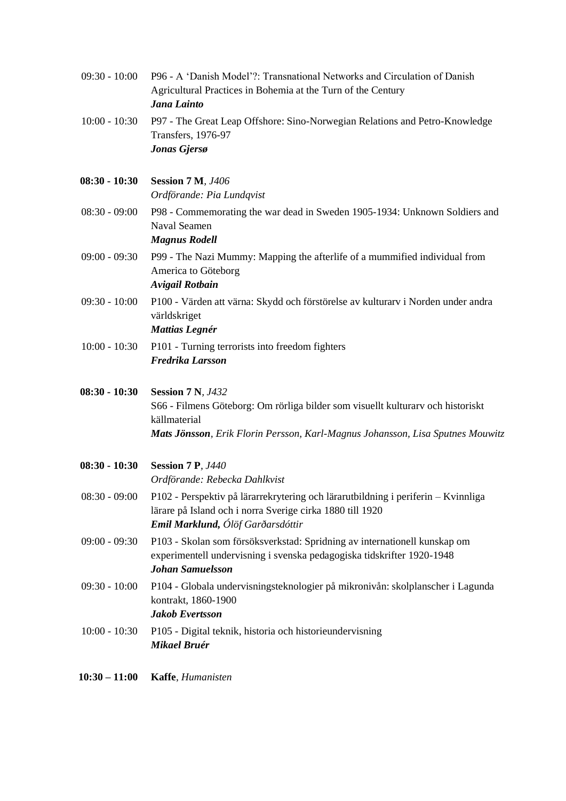| $09:30 - 10:00$ | P96 - A 'Danish Model'?: Transnational Networks and Circulation of Danish<br>Agricultural Practices in Bohemia at the Turn of the Century<br>Jana Lainto                                                      |
|-----------------|---------------------------------------------------------------------------------------------------------------------------------------------------------------------------------------------------------------|
| $10:00 - 10:30$ | P97 - The Great Leap Offshore: Sino-Norwegian Relations and Petro-Knowledge<br><b>Transfers</b> , 1976-97<br>Jonas Gjersø                                                                                     |
| $08:30 - 10:30$ | <b>Session 7 M, J406</b><br>Ordförande: Pia Lundqvist                                                                                                                                                         |
| $08:30 - 09:00$ | P98 - Commemorating the war dead in Sweden 1905-1934: Unknown Soldiers and<br><b>Naval Seamen</b><br><b>Magnus Rodell</b>                                                                                     |
| $09:00 - 09:30$ | P99 - The Nazi Mummy: Mapping the afterlife of a mummified individual from<br>America to Göteborg<br><b>Avigail Rotbain</b>                                                                                   |
| $09:30 - 10:00$ | P100 - Värden att värna: Skydd och förstörelse av kulturarv i Norden under andra<br>världskriget<br><b>Mattias Legnér</b>                                                                                     |
| $10:00 - 10:30$ | P101 - Turning terrorists into freedom fighters<br>Fredrika Larsson                                                                                                                                           |
| $08:30 - 10:30$ | <b>Session 7 N, J432</b><br>S66 - Filmens Göteborg: Om rörliga bilder som visuellt kulturarv och historiskt<br>källmaterial<br>Mats Jönsson, Erik Florin Persson, Karl-Magnus Johansson, Lisa Sputnes Mouwitz |
| $08:30 - 10:30$ | <b>Session 7 P, J440</b><br>Ordförande: Rebecka Dahlkvist                                                                                                                                                     |
| $08:30 - 09:00$ | P102 - Perspektiv på lärarrekrytering och lärarutbildning i periferin - Kvinnliga<br>lärare på Island och i norra Sverige cirka 1880 till 1920<br>Emil Marklund, Ólöf Garðarsdóttir                           |
| $09:00 - 09:30$ | P103 - Skolan som försöksverkstad: Spridning av internationell kunskap om<br>experimentell undervisning i svenska pedagogiska tidskrifter 1920-1948<br><b>Johan Samuelsson</b>                                |
| $09:30 - 10:00$ | P104 - Globala undervisningsteknologier på mikronivån: skolplanscher i Lagunda<br>kontrakt, 1860-1900<br><b>Jakob Evertsson</b>                                                                               |
| $10:00 - 10:30$ | P105 - Digital teknik, historia och historieundervisning<br>Mikael Bruér                                                                                                                                      |
| $10:30 - 11:00$ | Kaffe, Humanisten                                                                                                                                                                                             |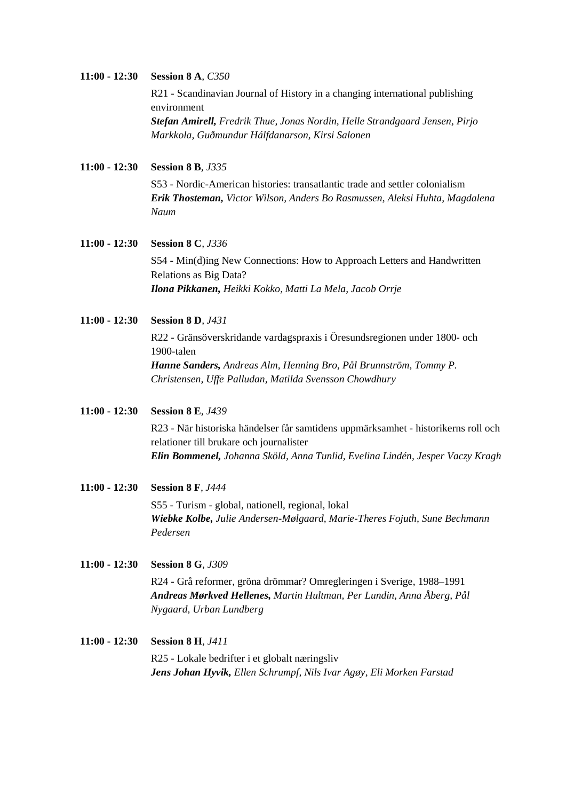## **11:00 - 12:30 Session 8 A***, C350* R21 - Scandinavian Journal of History in a changing international publishing environment

*Stefan Amirell, Fredrik Thue, Jonas Nordin, Helle Strandgaard Jensen, Pirjo Markkola, Guðmundur Hálfdanarson, Kirsi Salonen*

**11:00 - 12:30 Session 8 B***, J335*

S53 - Nordic-American histories: transatlantic trade and settler colonialism *Erik Thosteman, Victor Wilson, Anders Bo Rasmussen, Aleksi Huhta, Magdalena Naum*

### **11:00 - 12:30 Session 8 C***, J336* S54 - Min(d)ing New Connections: How to Approach Letters and Handwritten Relations as Big Data? *Ilona Pikkanen, Heikki Kokko, Matti La Mela, Jacob Orrje*

**11:00 - 12:30 Session 8 D***, J431*

R22 - Gränsöverskridande vardagspraxis i Öresundsregionen under 1800- och 1900-talen *Hanne Sanders, Andreas Alm, Henning Bro, Pål Brunnström, Tommy P. Christensen, Uffe Palludan, Matilda Svensson Chowdhury*

**11:00 - 12:30 Session 8 E***, J439*

R23 - När historiska händelser får samtidens uppmärksamhet - historikerns roll och relationer till brukare och journalister *Elin Bommenel, Johanna Sköld, Anna Tunlid, Evelina Lindén, Jesper Vaczy Kragh*

- **11:00 - 12:30 Session 8 F***, J444* S55 - Turism - global, nationell, regional, lokal *Wiebke Kolbe, Julie Andersen-Mølgaard, Marie-Theres Fojuth, Sune Bechmann Pedersen*
- **11:00 - 12:30 Session 8 G***, J309* R24 - Grå reformer, gröna drömmar? Omregleringen i Sverige, 1988–1991 *Andreas Mørkved Hellenes, Martin Hultman, Per Lundin, Anna Åberg, Pål Nygaard, Urban Lundberg*
- **11:00 - 12:30 Session 8 H***, J411* R25 - Lokale bedrifter i et globalt næringsliv *Jens Johan Hyvik, Ellen Schrumpf, Nils Ivar Agøy, Eli Morken Farstad*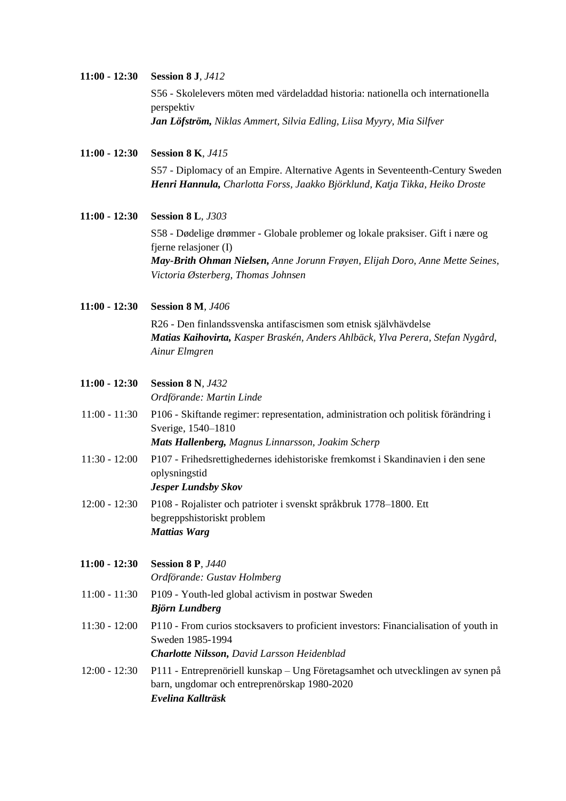| 11:00 - 12:30 | <b>Session 8 J.</b> <i>J412</i>                                                  |
|---------------|----------------------------------------------------------------------------------|
|               | S56 - Skolelevers möten med värdeladdad historia: nationella och internationella |
|               | perspektiv                                                                       |
|               | <b>Jan Löfström,</b> Niklas Ammert, Silvia Edling, Liisa Myyry, Mia Silfver      |
|               |                                                                                  |

**11:00 - 12:30 Session 8 K***, J415* S57 - Diplomacy of an Empire. Alternative Agents in Seventeenth-Century Sweden *Henri Hannula, Charlotta Forss, Jaakko Björklund, Katja Tikka, Heiko Droste*

- **11:00 - 12:30 Session 8 L***, J303* S58 - Dødelige drømmer - Globale problemer og lokale praksiser. Gift i nære og fjerne relasjoner (I) *May-Brith Ohman Nielsen, Anne Jorunn Frøyen, Elijah Doro, Anne Mette Seines, Victoria Østerberg, Thomas Johnsen*
- **11:00 - 12:30 Session 8 M***, J406*

R26 - Den finlandssvenska antifascismen som etnisk självhävdelse *Matias Kaihovirta, Kasper Braskén, Anders Ahlbäck, Ylva Perera, Stefan Nygård, Ainur Elmgren*

**11:00 - 12:30 Session 8 N***, J432*

*Ordförande: Martin Linde*

- 11:00 11:30 P106 Skiftande regimer: representation, administration och politisk förändring i Sverige, 1540–1810 *Mats Hallenberg, Magnus Linnarsson, Joakim Scherp*
- 11:30 12:00 P107 Frihedsrettighedernes idehistoriske fremkomst i Skandinavien i den sene oplysningstid *Jesper Lundsby Skov*
- 12:00 12:30 P108 Rojalister och patrioter i svenskt språkbruk 1778–1800. Ett begreppshistoriskt problem *Mattias Warg*

**11:00 - 12:30 Session 8 P***, J440 Ordförande: Gustav Holmberg*

11:00 - 11:30 P109 - Youth-led global activism in postwar Sweden *Björn Lundberg* 11:30 - 12:00 P110 - From curios stocksavers to proficient investors: Financialisation of youth in Sweden 1985-1994 *Charlotte Nilsson, David Larsson Heidenblad*

12:00 - 12:30 P111 - Entreprenöriell kunskap – Ung Företagsamhet och utvecklingen av synen på barn, ungdomar och entreprenörskap 1980-2020 *Evelina Kallträsk*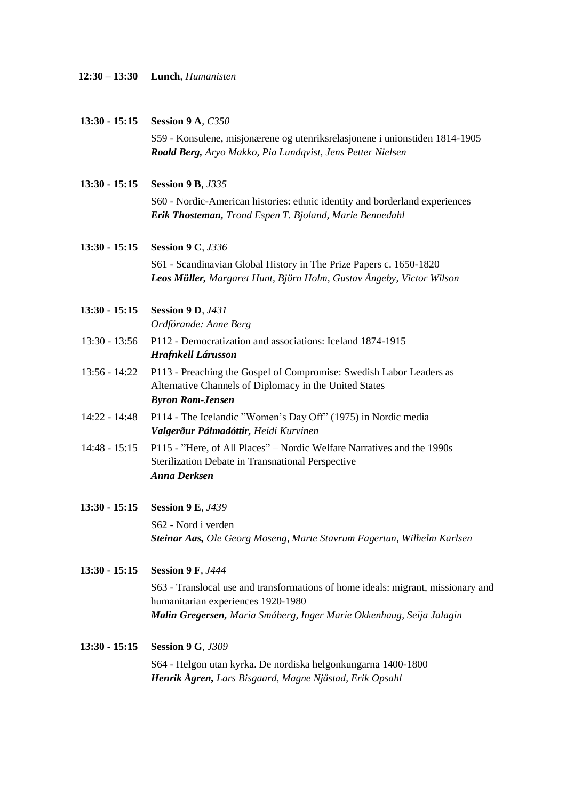| $12:30 - 13:30$ |  | Lunch, Humanisten |
|-----------------|--|-------------------|
|-----------------|--|-------------------|

**13:30 - 15:15 Session 9 A***, C350* S59 - Konsulene, misjonærene og utenriksrelasjonene i unionstiden 1814-1905 *Roald Berg, Aryo Makko, Pia Lundqvist, Jens Petter Nielsen* **13:30 - 15:15 Session 9 B***, J335* S60 - Nordic-American histories: ethnic identity and borderland experiences *Erik Thosteman, Trond Espen T. Bjoland, Marie Bennedahl* **13:30 - 15:15 Session 9 C***, J336* S61 - Scandinavian Global History in The Prize Papers c. 1650-1820 *Leos Müller, Margaret Hunt, Björn Holm, Gustav Ängeby, Victor Wilson* **13:30 - 15:15 Session 9 D***, J431 Ordförande: Anne Berg* 13:30 - 13:56 P112 - Democratization and associations: Iceland 1874-1915 *Hrafnkell Lárusson* 13:56 - 14:22 P113 - Preaching the Gospel of Compromise: Swedish Labor Leaders as Alternative Channels of Diplomacy in the United States *Byron Rom-Jensen* 14:22 - 14:48 P114 - The Icelandic "Women's Day Off" (1975) in Nordic media *Valgerður Pálmadóttir, Heidi Kurvinen* 14:48 - 15:15 P115 - "Here, of All Places" – Nordic Welfare Narratives and the 1990s Sterilization Debate in Transnational Perspective *Anna Derksen* **13:30 - 15:15 Session 9 E***, J439* S62 - Nord i verden *Steinar Aas, Ole Georg Moseng, Marte Stavrum Fagertun, Wilhelm Karlsen* **13:30 - 15:15 Session 9 F***, J444* S63 - Translocal use and transformations of home ideals: migrant, missionary and humanitarian experiences 1920-1980 *Malin Gregersen, Maria Småberg, Inger Marie Okkenhaug, Seija Jalagin* **13:30 - 15:15 Session 9 G***, J309* S64 - Helgon utan kyrka. De nordiska helgonkungarna 1400-1800 *Henrik Ågren, Lars Bisgaard, Magne Njåstad, Erik Opsahl*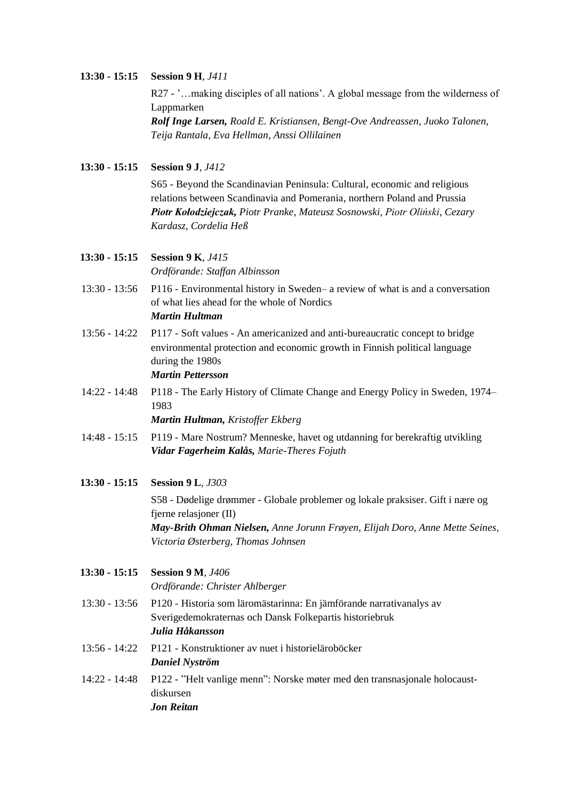#### **13:30 - 15:15 Session 9 H***, J411*

R27 - '...making disciples of all nations'. A global message from the wilderness of Lappmarken *Rolf Inge Larsen, Roald E. Kristiansen, Bengt-Ove Andreassen, Juoko Talonen, Teija Rantala, Eva Hellman, Anssi Ollilainen*

**13:30 - 15:15 Session 9 J***, J412*

S65 - Beyond the Scandinavian Peninsula: Cultural, economic and religious relations between Scandinavia and Pomerania, northern Poland and Prussia *Piotr Kołodziejczak, Piotr Pranke, Mateusz Sosnowski, Piotr Oliński, Cezary Kardasz, Cordelia Heß*

#### **13:30 - 15:15 Session 9 K***, J415*

*Ordförande: Staffan Albinsson*

- 13:30 13:56 P116 Environmental history in Sweden– a review of what is and a conversation of what lies ahead for the whole of Nordics *Martin Hultman*
- 13:56 14:22 P117 Soft values An americanized and anti-bureaucratic concept to bridge environmental protection and economic growth in Finnish political language during the 1980s *Martin Pettersson*
- 14:22 14:48 P118 The Early History of Climate Change and Energy Policy in Sweden, 1974– 1983

*Martin Hultman, Kristoffer Ekberg*

- 14:48 15:15 P119 Mare Nostrum? Menneske, havet og utdanning for berekraftig utvikling *Vidar Fagerheim Kalås, Marie-Theres Fojuth*
- **13:30 - 15:15 Session 9 L***, J303*

S58 - Dødelige drømmer - Globale problemer og lokale praksiser. Gift i nære og fjerne relasjoner (II) *May-Brith Ohman Nielsen, Anne Jorunn Frøyen, Elijah Doro, Anne Mette Seines, Victoria Østerberg, Thomas Johnsen*

**13:30 - 15:15 Session 9 M***, J406*

*Ordförande: Christer Ahlberger*

- 13:30 13:56 P120 Historia som läromästarinna: En jämförande narrativanalys av Sverigedemokraternas och Dansk Folkepartis historiebruk *Julia Håkansson*
- 13:56 14:22 P121 Konstruktioner av nuet i historieläroböcker *Daniel Nyström*
- 14:22 14:48 P122 "Helt vanlige menn": Norske møter med den transnasjonale holocaustdiskursen *Jon Reitan*